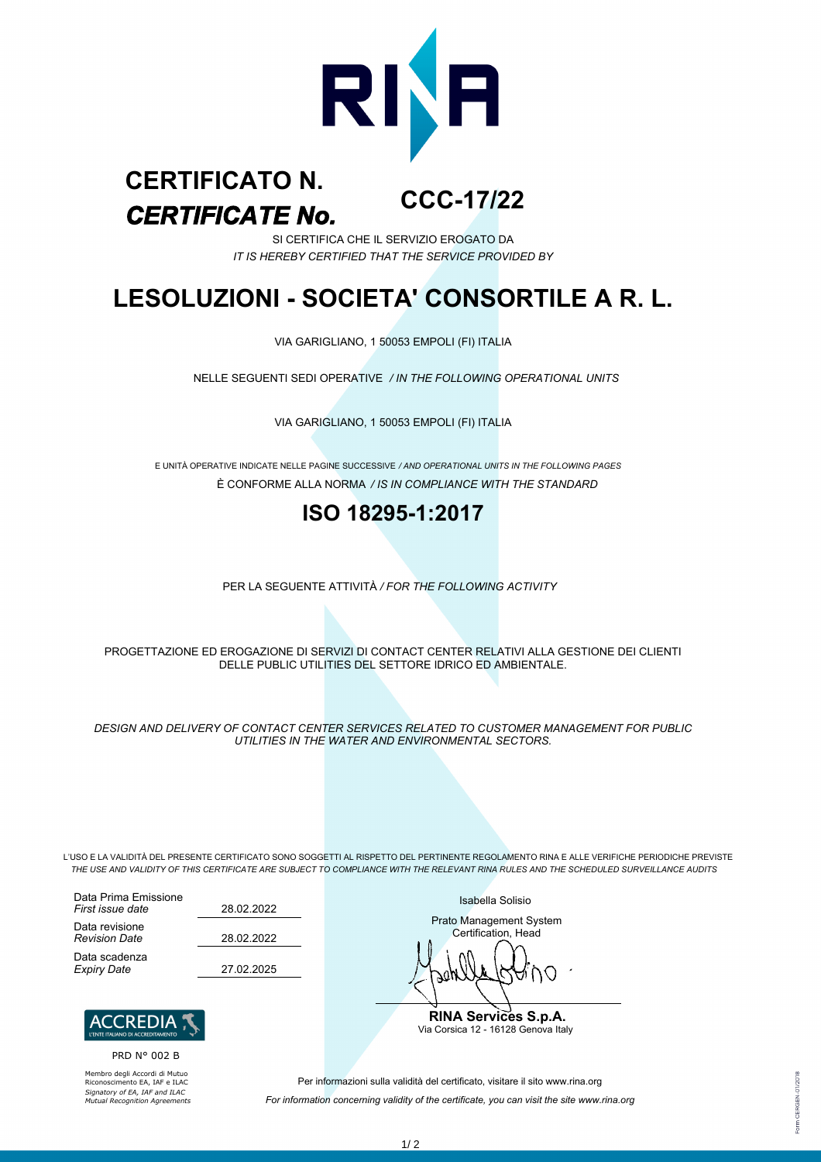

#### **CCC-17/22** *CERTIFICATE No.* **CERTIFICATO N.**

SI CERTIFICA CHE IL SERVIZIO EROGATO DA *IT IS HEREBY CERTIFIED THAT THE SERVICE PROVIDED BY*

## **LESOLUZIONI - SOCIETA' CONSORTILE A R. L.**

VIA GARIGLIANO, 1 50053 EMPOLI (FI) ITALIA

NELLE SEGUENTI SEDI OPERATIVE */ IN THE FOLLOWING OPERATIONAL UNITS*

VIA GARIGLIANO, 1 50053 EMPOLI (FI) ITALIA

È CONFORME ALLA NORMA */ IS IN COMPLIANCE WITH THE STANDARD* E UNITÀ OPERATIVE INDICATE NELLE PAGINE SUCCESSIVE */ AND OPERATIONAL UNITS IN THE FOLLOWING PAGES*

## **ISO 18295-1:2017**

PER LA SEGUENTE ATTIVITÀ */ FOR THE FOLLOWING ACTIVITY*

PROGETTAZIONE ED EROGAZIONE DI SERVIZI DI CONTACT CENTER RELATIVI ALLA GESTIONE DEI CLIENTI DELLE PUBLIC UTILITIES DEL SETTORE IDRICO ED AMBIENTALE.

*DESIGN AND DELIVERY OF CONTACT CENTER SERVICES RELATED TO CUSTOMER MANAGEMENT FOR PUBLIC UTILITIES IN THE WATER AND ENVIRONMENTAL SECTORS.*

L'USO E LA VALIDITÀ DEL PRESENTE CERTIFICATO SONO SOGGETTI AL RISPETTO DEL PERTINENTE REGOLAMENTO RINA E ALLE VERIFICHE PERIODICHE PREVISTE *THE USE AND VALIDITY OF THIS CERTIFICATE ARE SUBJECT TO COMPLIANCE WITH THE RELEVANT RINA RULES AND THE SCHEDULED SURVEILLANCE AUDITS*

28.02.2022 28.02.2022 Data Prima Emissione *First issue date* Data revisione *Revision Date* Data scadenza *Expiry Date* 27.02.2025



PRD N° 002 B

Membro degli Accordi di Mutuo Riconoscimento EA, IAF e ILAC *Signatory of EA, IAF and ILAC Mutual Recognition Agreements* Isabella Solisio

Prato Management System Certification, Head

◠

**RINA Services S.p.A.** Via Corsica 12 - 16128 Genova Italy

Per informazioni sulla validità del certificato, visitare il sito www.rina.org *For information concerning validity of the certificate, you can visit the site www.rina.org* **CERGEN-01/2018**